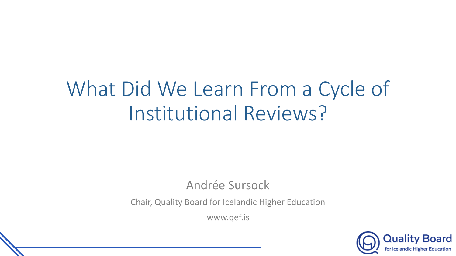# What Did We Learn From a Cycle of Institutional Reviews?

## Andrée Sursock

Chair, Quality Board for Icelandic Higher Education

www.qef.is

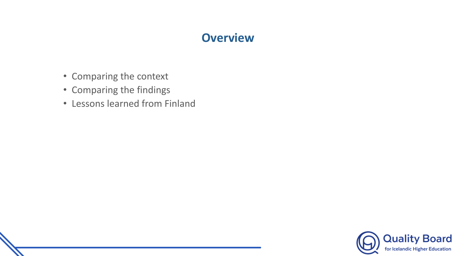#### **Overview**

- Comparing the context
- Comparing the findings
- Lessons learned from Finland

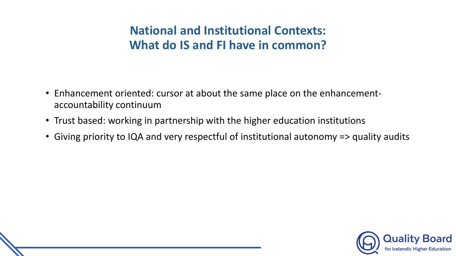## **National and Institutional Contexts: What do IS and FI have in common?**

- Enhancement oriented: cursor at about the same place on the enhancementaccountability continuum
- Trust based: working in partnership with the higher education institutions
- Giving priority to IQA and very respectful of institutional autonomy => quality audits

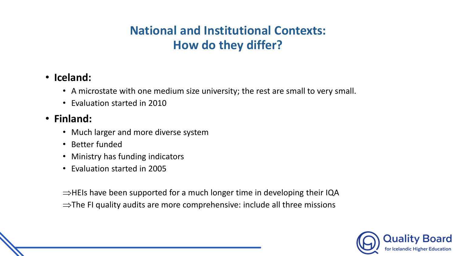## **National and Institutional Contexts: How do they differ?**

#### • **Iceland:**

- A microstate with one medium size university; the rest are small to very small.
- Evaluation started in 2010

### • **Finland:**

- Much larger and more diverse system
- Better funded
- Ministry has funding indicators
- Evaluation started in 2005

 $\Rightarrow$ HEIs have been supported for a much longer time in developing their IQA  $\Rightarrow$ The FI quality audits are more comprehensive: include all three missions

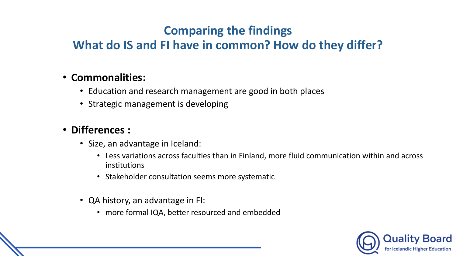# **Comparing the findings**

# **What do IS and FI have in common? How do they differ?**

#### • **Commonalities:**

- Education and research management are good in both places
- Strategic management is developing

#### • **Differences :**

- Size, an advantage in Iceland:
	- Less variations across faculties than in Finland, more fluid communication within and across institutions
	- Stakeholder consultation seems more systematic
- QA history, an advantage in FI:
	- more formal IQA, better resourced and embedded